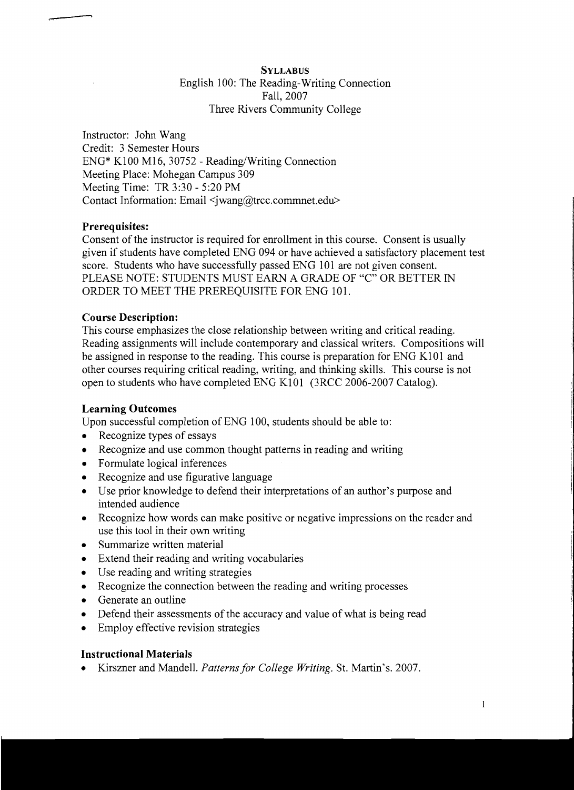## **SYLLABUS** English 100: The Reading-Writing Connection Fall,2007 Three Rivers Community College

Instructor: John Wang Credit: 3 Semester Hours ENG\* K100 M16, 30752 - Reading/Writing Connection Meeting Place: Mohegan Campus 309 Meeting Time: TR 3:30 - 5:20 PM Contact Information: Email <jwang@trcc.commnet.edu>

# Prerequisites:

...... ī

> Consent of the instructor is required for enrollment in this course. Consent is usually given if students have completed ENG 094 or have achieved a satisfactory placement test score. Students who have successfully passed ENG 101 are not given consent. PLEASE NOTE: STUDENTS MUST EARN A GRADE OF "C" OR BETTER IN ORDER TO MEET THE PREREQUISITE FOR ENG 101.

### Course Description:

This course emphasizes the close relationship between writing and critical reading. Reading assignments will include contemporary and classical writers. Compositions will be assigned in response to the reading. This course is preparation for ENG K101 and other courses requiring critical reading, writing, and thinking skills. This course is not open to students who have completed ENG K101 (3RCC 2006-2007 Catalog).

### Learning Outcomes

Upon successful completion of ENG 100, students should be able to:

- Recognize types of essays
- Recognize and use common thought patterns in reading and writing
- Formulate logical inferences
- Recognize and use figurative language
- Use prior knowledge to defend their interpretations of an author's purpose and intended audience
- Recognize how words can make positive or negative impressions on the reader and use this tool in their own writing
- Summarize written material
- Extend their reading and writing vocabularies
- Use reading and writing strategies
- Recognize the connection between the reading and writing processes
- Generate an outline
- Defend their assessments of the accuracy and value of what is being read
- Employ effective revision strategies

### Instructional Materials

Kirszner and Mandell. *Patterns for College Writing*. St. Martin's. 2007.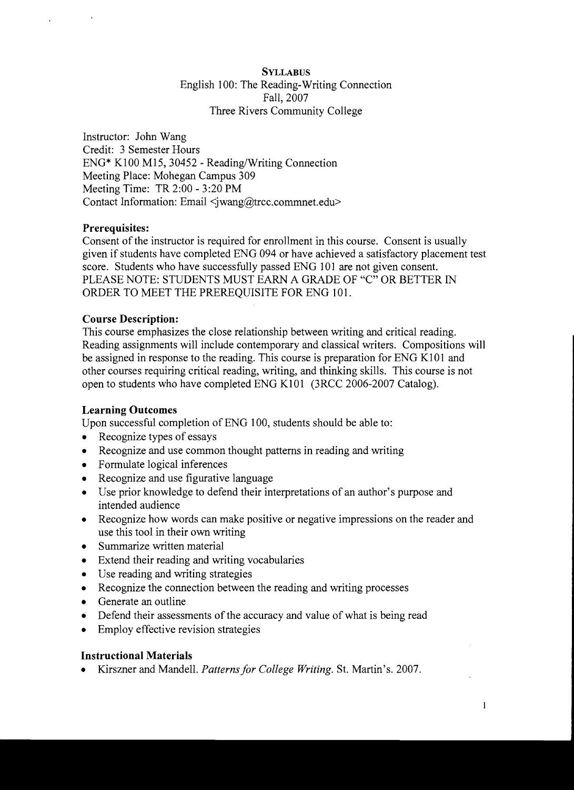## **SYLLABUS**  English 100: The Reading-Writing Connection Fall, 2007 Three Rivers Community College

Instructor: John Wang Credit: 3 Semester Hours ENG\* K100 MIS, 30452 - Reading/Writing Connection Meeting Place: Mohegan Campus 309 Meeting Time: TR 2:00 - 3:20 PM Contact Information: Email <iwang@trcc.commnet.edu>

# **Prerequisites:**

Consent of the instructor is required for enrollment in this course. Consent is usually given if students have completed ENG 094 or have achieved a satisfactory placement test score. Students who have successfully passed ENG 101 are not given consent. PLEASE NOTE: STUDENTS MUST EARN A GRADE OF "C" OR BETTER IN ORDER TO MEET THE PREREQUISITE FOR ENG 101.

### **Course Description:**

This course emphasizes the close relationship between writing and critical reading. Reading assignments will include contemporary and classical writers. Compositions will be assigned in response to the reading. This course is preparation for ENG K101 and other courses requiring critical reading, writing, and thinking skills. This course is not open to students who have completed ENG K101 (3RCC 2006-2007 Catalog).

### **Learning Outcomes**

Upon successful completion of ENG 100, students should be able to:

- Recognize types of essays
- Recognize and use common thought patterns in reading and writing
- Formulate logical inferences
- Recognize and use figurative language
- Use prior knowledge to defend their interpretations of an author's purpose and intended audience
- Recognize how words can make positive or negative impressions on the reader and use this tool in their own writing
- Summarize written material
- Extend their reading and writing vocabularies
- Use reading and writing strategies
- Recognize the connection between the reading and writing processes
- Generate an outline
- Defend their assessments of the accuracy and value of what is being read
- Employ effective revision strategies

### **Instructional Materials**

Kirszner and Mandell. *Patterns for College Writing*. St. Martin's. 2007.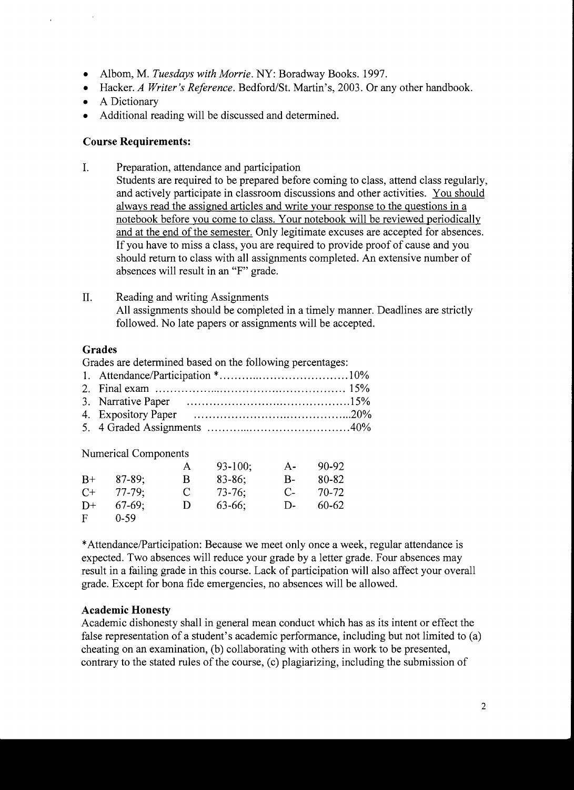- Alborn, M. *Tuesdays with Morrie.* NY: Boradway Books. 1997.
- Hacker. *A Writer's Reference.* Bedford/St. Martin's, 2003. Or any other handbook.
- A Dictionary

 $\bar{z}$ 

• Additional reading will be discussed and determined.

#### **Course Requirements:**

- I. Preparation, attendance and participation Students are required to be prepared before coming to class, attend class regularly, and actively participate in classroom discussions and other activities. You should always read the assigned articles and write your response to the questions in a notebook before you come to class. Your notebook will be reviewed periodically and at the end of the semester. Only legitimate excuses are accepted for absences. If you have to miss a class, you are required to provide proof of cause and you should return to class with all assignments completed. An extensive number of absences will result in an "F" grade.
- II. Reading and writing Assignments All assignments should be completed in a timely manner. Deadlines are strictly followed. No late papers or assignments will be accepted.

### **Grades**

Grades are determined based on the following percentages:

| <b>Numerical Components</b> |  |  |
|-----------------------------|--|--|

|      |           | A | $93 - 100$ ; | $A -$     | 90-92 |
|------|-----------|---|--------------|-----------|-------|
| $B+$ | $87-89$ ; | В | $83 - 86$ ;  | В-        | 80-82 |
| $C+$ | $77-79:$  | C | $73-76$      | $C_{\pm}$ | 70-72 |
| $D+$ | $67-69$ ; | Ð | $63-66$ :    | D-        | 60-62 |
| F    | $0 - 59$  |   |              |           |       |

\*Attendance/Participation: Because we meet only once a week, regular attendance is expected. Two absences will reduce your grade by a letter grade. Four absences may result in a failing grade in this course. Lack of participation will also affect your overall grade. Except for bona fide emergencies, no absences will be allowed.

#### **Academic Honesty**

Academic dishonesty shall in general mean conduct which has as its intent or effect the false representation of a student's academic performance, including but not limited to (a) cheating on an examination, (b) collaborating with others in work to be presented, contrary to the stated rules of the course, (c) plagiarizing, including the submission of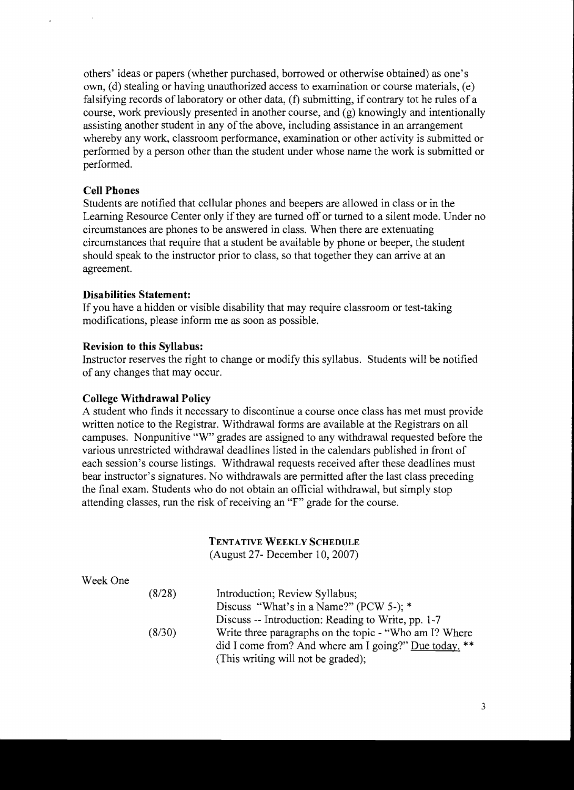others' ideas or papers (whether purchased, borrowed or otherwise obtained) as one's own, (d) stealing or having unauthorized access to examination or course materials, (e) falsifying records of laboratory or other data, (f) submitting, if contrary tot he rules of a course, work previously presented in another course, and (g) knowingly and intentionally assisting another student in any of the above, including assistance in an arrangement whereby any work, classroom performance, examination or other activity is submitted or performed by a person other than the student under whose name the work is submitted or performed.

### **Cell Phones**

Students are notified that cellular phones and beepers are allowed in class or in the Learning Resource Center only if they are turned off or turned to a silent mode. Under no circumstances are phones to be answered in class. When there are extenuating circumstances that require that a student be available by phone or beeper, the student should speak to the instructor prior to class, so that together they can arrive at an agreement.

#### **Disabilities Statement:**

If you have a hidden or visible disability that may require classroom or test-taking modifications, please inform me as soon as possible.

### **Revision to this Syllabus:**

Instructor reserves the right to change or modify this syllabus. Students will be notified of any changes that may occur.

#### **College Withdrawal Policy**

Week One

A student who finds it necessary to discontinue a course once class has met must provide written notice to the Registrar. Withdrawal forms are available at the Registrars on all campuses. Nonpunitive "w" grades are assigned to any withdrawal requested before the various unrestricted withdrawal deadlines listed in the calendars published in front of each session's course listings. Withdrawal requests received after these deadlines must bear instructor's signatures. No withdrawals are permitted after the last class preceding the final exam. Students who do not obtain an official withdrawal, but simply stop attending classes, run the risk of receiving an "F" grade for the course.

## TENTATIVE WEEKLY SCHEDULE

(August 27- December 10,2007)

| (8/28) | Introduction; Review Syllabus;                         |
|--------|--------------------------------------------------------|
|        | Discuss "What's in a Name?" (PCW 5-); *                |
|        | Discuss -- Introduction: Reading to Write, pp. 1-7     |
| (8/30) | Write three paragraphs on the topic - "Who am I? Where |
|        | did I come from? And where am I going?" Due today. **  |
|        | (This writing will not be graded);                     |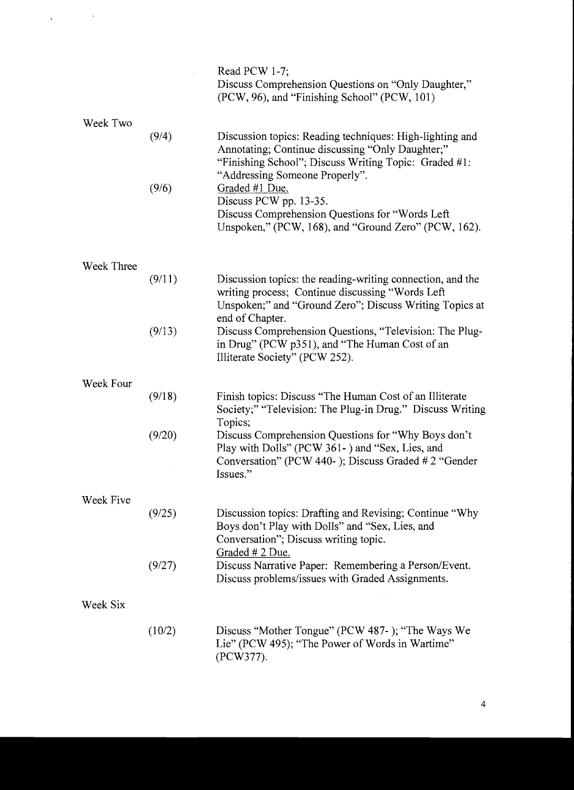|            |        | Read PCW 1-7;<br>Discuss Comprehension Questions on "Only Daughter,"<br>(PCW, 96), and "Finishing School" (PCW, 101)                                                                                    |
|------------|--------|---------------------------------------------------------------------------------------------------------------------------------------------------------------------------------------------------------|
| Week Two   |        |                                                                                                                                                                                                         |
|            | (9/4)  | Discussion topics: Reading techniques: High-lighting and<br>Annotating; Continue discussing "Only Daughter;"<br>"Finishing School"; Discuss Writing Topic: Graded #1:<br>"Addressing Someone Properly". |
|            | (9/6)  | Graded #1 Due.<br>Discuss PCW pp. 13-35.<br>Discuss Comprehension Questions for "Words Left"<br>Unspoken," (PCW, 168), and "Ground Zero" (PCW, 162).                                                    |
| Week Three |        |                                                                                                                                                                                                         |
|            | (9/11) | Discussion topics: the reading-writing connection, and the<br>writing process; Continue discussing "Words Left"<br>Unspoken;" and "Ground Zero"; Discuss Writing Topics at<br>end of Chapter.           |
|            | (9/13) | Discuss Comprehension Questions, "Television: The Plug-<br>in Drug" (PCW p351), and "The Human Cost of an<br>Illiterate Society" (PCW 252).                                                             |
| Week Four  |        |                                                                                                                                                                                                         |
|            | (9/18) | Finish topics: Discuss "The Human Cost of an Illiterate"<br>Society;" "Television: The Plug-in Drug." Discuss Writing<br>Topics;                                                                        |
|            | (9/20) | Discuss Comprehension Questions for "Why Boys don't<br>Play with Dolls" (PCW 361-) and "Sex, Lies, and<br>Conversation" (PCW 440-); Discuss Graded #2 "Gender                                           |
|            |        | Issues."                                                                                                                                                                                                |
|            |        |                                                                                                                                                                                                         |
| Week Five  | (9/25) | Discussion topics: Drafting and Revising; Continue "Why"<br>Boys don't Play with Dolls" and "Sex, Lies, and<br>Conversation"; Discuss writing topic.<br>Graded # 2 Due.                                 |
|            | (9/27) | Discuss Narrative Paper: Remembering a Person/Event.<br>Discuss problems/issues with Graded Assignments.                                                                                                |
| Week Six   |        |                                                                                                                                                                                                         |
|            |        |                                                                                                                                                                                                         |
|            | (10/2) | Discuss "Mother Tongue" (PCW 487-); "The Ways We<br>Lie" (PCW 495); "The Power of Words in Wartime"<br>(PCW377).                                                                                        |

 $\label{eq:2.1} \frac{1}{\sqrt{2\pi}}\int_{0}^{\infty}\frac{1}{\sqrt{2\pi}}\left(\frac{1}{\sqrt{2\pi}}\right)^{2\alpha} \frac{1}{\sqrt{2\pi}}\left(\frac{1}{\sqrt{2\pi}}\right)^{\alpha} \frac{1}{\sqrt{2\pi}}\left(\frac{1}{\sqrt{2\pi}}\right)^{\alpha} \frac{1}{\sqrt{2\pi}}\left(\frac{1}{\sqrt{2\pi}}\right)^{\alpha} \frac{1}{\sqrt{2\pi}}\left(\frac{1}{\sqrt{2\pi}}\right)^{\alpha} \frac{1}{\sqrt{2\pi}}\left(\frac{1}{\sqrt{2\pi}}\right$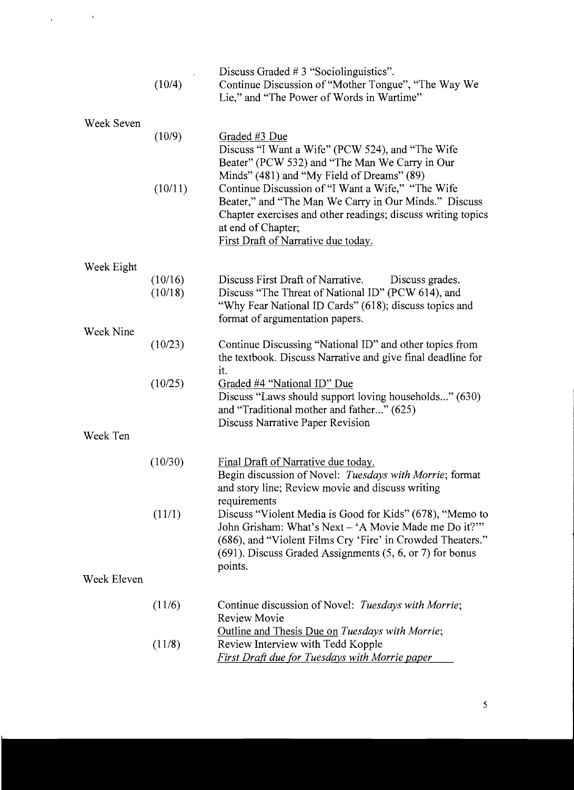|             | (10/4)             | Discuss Graded $# 3$ "Sociolinguistics".<br>Continue Discussion of "Mother Tongue", "The Way We<br>Lie," and "The Power of Words in Wartime"                                                                                                     |
|-------------|--------------------|--------------------------------------------------------------------------------------------------------------------------------------------------------------------------------------------------------------------------------------------------|
| Week Seven  |                    |                                                                                                                                                                                                                                                  |
|             | (10/9)             | Graded #3 Due<br>Discuss "I Want a Wife" (PCW 524), and "The Wife<br>Beater" (PCW 532) and "The Man We Carry in Our<br>Minds" (481) and "My Field of Dreams" (89)                                                                                |
|             | (10/11)            | Continue Discussion of "I Want a Wife," "The Wife<br>Beater," and "The Man We Carry in Our Minds." Discuss<br>Chapter exercises and other readings; discuss writing topics<br>at end of Chapter;<br>First Draft of Narrative due today.          |
| Week Eight  |                    |                                                                                                                                                                                                                                                  |
|             | (10/16)<br>(10/18) | Discuss First Draft of Narrative.<br>Discuss grades.<br>Discuss "The Threat of National ID" (PCW 614), and<br>"Why Fear National ID Cards" (618); discuss topics and<br>format of argumentation papers.                                          |
| Week Nine   |                    |                                                                                                                                                                                                                                                  |
|             | (10/23)            | Continue Discussing "National ID" and other topics from<br>the textbook. Discuss Narrative and give final deadline for<br>it.                                                                                                                    |
|             | (10/25)            | Graded #4 "National ID" Due<br>Discuss "Laws should support loving households" (630)<br>and "Traditional mother and father" (625)<br>Discuss Narrative Paper Revision                                                                            |
| Week Ten    |                    |                                                                                                                                                                                                                                                  |
|             | (10/30)            | Final Draft of Narrative due today.<br>Begin discussion of Novel: Tuesdays with Morrie; format<br>and story line; Review movie and discuss writing<br>requirements                                                                               |
|             | (11/1)             | Discuss "Violent Media is Good for Kids" (678), "Memo to<br>John Grisham: What's Next – 'A Movie Made me Do it?'"<br>(686), and "Violent Films Cry 'Fire' in Crowded Theaters."<br>$(691)$ . Discuss Graded Assignments $(5, 6, or 7)$ for bonus |
| Week Eleven |                    | points.                                                                                                                                                                                                                                          |
|             |                    |                                                                                                                                                                                                                                                  |
|             | (11/6)             | Continue discussion of Novel: Tuesdays with Morrie;<br><b>Review Movie</b><br>Outline and Thesis Due on Tuesdays with Morrie;                                                                                                                    |
|             | (11/8)             | Review Interview with Tedd Kopple<br><b>First Draft due for Tuesdays with Morrie paper</b>                                                                                                                                                       |

 $\label{eq:2.1} \frac{1}{\sqrt{2\pi}}\int_{\mathbb{R}^{2}}\left|\frac{d\mathbf{r}}{d\mathbf{r}}\right|^{2}d\mathbf{r}=\frac{1}{2}\int_{\mathbb{R}^{2}}\left|\frac{d\mathbf{r}}{d\mathbf{r}}\right|^{2}d\mathbf{r}$